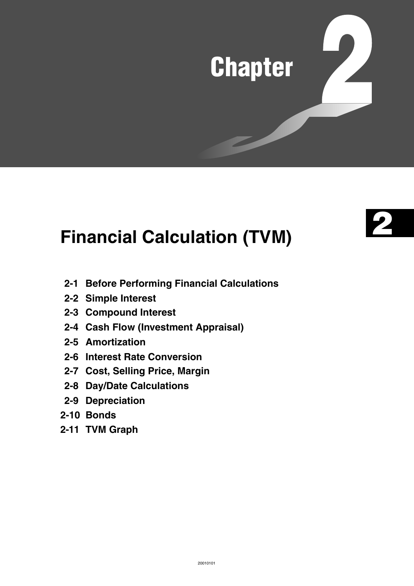# **Chapter**



# **Financial Calculation (TVM)**

- **2-1 Before Performing Financial Calculations**
- **2-2 Simple Interest**
- **2-3 Compound Interest**
- **2-4 Cash Flow (Investment Appraisal)**
- **2-5 Amortization**
- **2-6 Interest Rate Conversion**
- **2-7 Cost, Selling Price, Margin**
- **2-8 Day/Date Calculations**
- **2-9 Depreciation**
- **2-10 Bonds**
- **2-11 TVM Graph**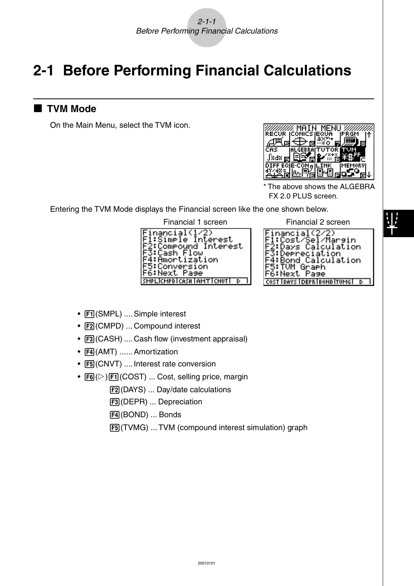# **2-1 Before Performing Financial Calculations**

### **K** TVM Mode

On the Main Menu, select the TVM icon.



The above shows the ALGEBRA FX 2.0 PLUS screen.

Entering the TVM Mode displays the Financial screen like the one shown below.



Financial 1 screen Financial 2 screen<br>
Financial (1/2) Financial (2/2)<br>
Fissimple Interest FitCost/Sel/Margin<br>
F2:Compound Interest F3:Derreciation<br>
F4:Bond Calculation<br>
F4:Bond Calculation<br>
F4:Bond Calculation 5:TÜM Graph F6:Next Page **COST IDAYS IDEPRIBOND ITUMGI D** 

- Fil(SMPL) .... Simple interest
- F2 (CMPD) ... Compound interest
- $F3$  (CASH) .... Cash flow (investment appraisal)
- F4(AMT) ...... Amortization
- [F5] (CNVT) .... Interest rate conversion
- $F6(E)$  $F1(COST)$  ... Cost, selling price, margin
	- 2(DAYS) ... Day/date calculations
	- 3(DEPR) ... Depreciation
	- 4(BOND) ... Bonds
	- 5(TVMG) ... TVM (compound interest simulation) graph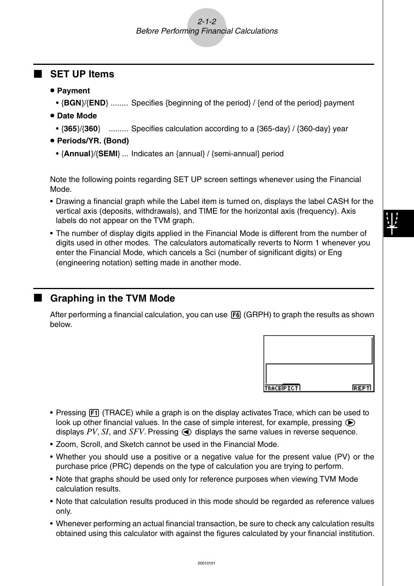### $2 - 1 - 2$ Before Performing Financial Calculations

### k **SET UP Items**

- **Payment** 
	- {**BGN**}/{**END**} ........ Specifies {beginning of the period} / {end of the period} payment
- **Date Mode** 
	- {**365**}/{**360**} ......... Specifies calculation according to a {365-day} / {360-day} year
- u **Periods/YR. (Bond)**
	- {**Annual**}/{**SEMI**} ... Indicates an {annual} / {semi-annual} period

Note the following points regarding SET UP screen settings whenever using the Financial Mode.

- Drawing a financial graph while the Label item is turned on, displays the label CASH for the vertical axis (deposits, withdrawals), and TIME for the horizontal axis (frequency). Axis labels do not appear on the TVM graph.
- The number of display digits applied in the Financial Mode is different from the number of digits used in other modes. The calculators automatically reverts to Norm 1 whenever you enter the Financial Mode, which cancels a Sci (number of significant digits) or Eng (engineering notation) setting made in another mode.

### **K** Graphing in the TVM Mode

After performing a financial calculation, you can use **F6** (GRPH) to graph the results as shown below.



- Pressing  $[FI]$  (TRACE) while a graph is on the display activates Trace, which can be used to look up other financial values. In the case of simple interest, for example, pressing  $\odot$ displays  $PV$ ,  $SI$ , and  $SFV$ . Pressing  $\bigodot$  displays the same values in reverse sequence.
- Zoom, Scroll, and Sketch cannot be used in the Financial Mode.
- Whether you should use a positive or a negative value for the present value (PV) or the purchase price (PRC) depends on the type of calculation you are trying to perform.
- Note that graphs should be used only for reference purposes when viewing TVM Mode calculation results.
- Note that calculation results produced in this mode should be regarded as reference values only.
- Whenever performing an actual financial transaction, be sure to check any calculation results obtained using this calculator with against the figures calculated by your financial institution.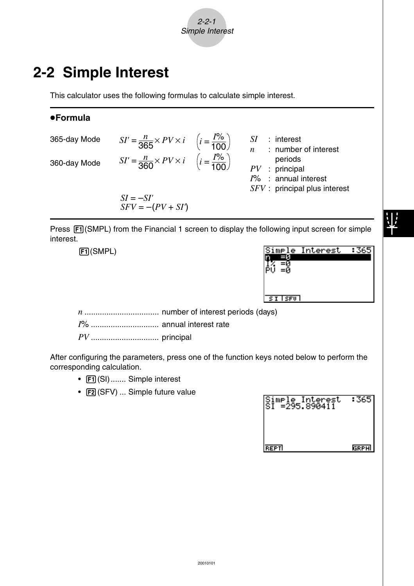

### **2-2 Simple Interest**

This calculator uses the following formulas to calculate simple interest.

### u**Formula**

| 365-day Mode | $SI' = \frac{n}{365} \times PV \times i \quad \left(i = \frac{I\%}{100}\right)$ | SΙ<br>$:$ interest               |
|--------------|---------------------------------------------------------------------------------|----------------------------------|
| 360-day Mode | $SI' = \frac{n}{360} \times PV \times i \quad \left(i = \frac{I\%}{100}\right)$ | : number of interest<br>periods  |
|              |                                                                                 | $PV$ : principal                 |
|              |                                                                                 | $I\%$ : annual interest          |
|              | $SI = -SI'$                                                                     | $S FV$ : principal plus interest |
|              | $SFV = -(PV + SI')$                                                             |                                  |

Press  $\mathsf{[FI]}(\mathsf{SMPL})$  from the Financial 1 screen to display the following input screen for simple interest.

1(SMPL)

|       | Simple Interest |  |
|-------|-----------------|--|
|       |                 |  |
|       |                 |  |
|       |                 |  |
|       |                 |  |
| STIST |                 |  |

*n* .................................. number of interest periods (days)

*I*% ............................... annual interest rate

*PV* ............................... principal

After configuring the parameters, press one of the function keys noted below to perform the corresponding calculation.

- F1 (SI) ....... Simple interest
- F2 (SFV) ... Simple future value

| Simple Interest<br>SI =295.890411 | - 365 |
|-----------------------------------|-------|
| REPTI                             | GRPH  |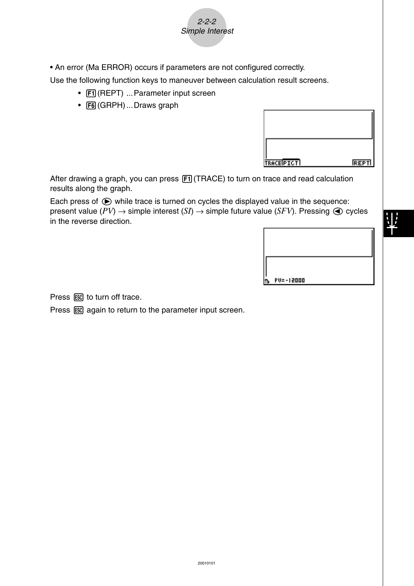

Use the following function keys to maneuver between calculation result screens.

2-2-2 Simple Interest

- Fil (REPT) ... Parameter input screen
- [F6] (GRPH) ... Draws graph

| TRACEPTCT | <b>REPTI</b> |
|-----------|--------------|

After drawing a graph, you can press  $F1$  (TRACE) to turn on trace and read calculation results along the graph.

Each press of  $\odot$  while trace is turned on cycles the displayed value in the sequence: present value ( $PV$ )  $\rightarrow$  simple interest ( $SI$ )  $\rightarrow$  simple future value ( $SFV$ ). Pressing  $\bigcirc$  cycles in the reverse direction.



Press ESC to turn off trace.

Press  $\overline{ES}$  again to return to the parameter input screen.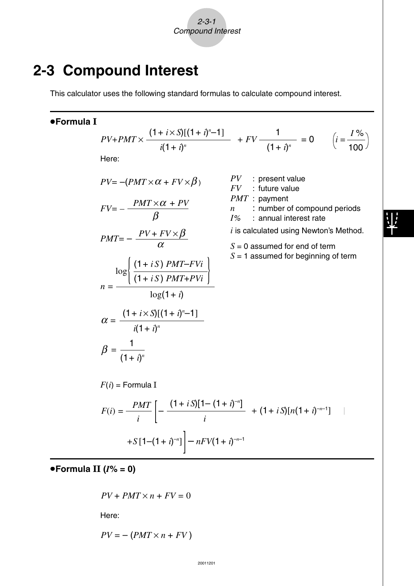### **2-3 Compound Interest**

This calculator uses the following standard formulas to calculate compound interest.

### u**Formula I**

$$
PV + PMT \times \frac{(1 + i \times S)[(1 + i)^{n} - 1]}{i(1 + i)^{n}} + FV - \frac{1}{(1 + i)^{n}} = 0 \qquad \left(i = \frac{I\%}{100}\right)
$$
  
Here:

 $\frac{1}{i}$   $\left[ -\frac{x^2 + 2x}{i} + (1+iS)[n(1+i)^{-n-1}] \right]$ 

$$
PV = -(PMT \times \alpha + FV \times \beta)
$$

$$
FV = -\frac{PMT \times \alpha + PV}{\beta}
$$

$$
PMT = -\frac{PV + FV \times \beta}{\alpha}
$$

$$
n = \frac{\log \left\{ \frac{\left(1+iS\right) PMT - FVi}{\left(1+iS\right) PMT + PVi} \right\}}{\log(1+i)}
$$

$$
\alpha = \frac{\left(1+i \times S\right) \left[(1+i)^{n}-1\right]}{i(1+i)^{n}}
$$

 $F(i) = \frac{PMT}{i} \left[ -\frac{(1+iS)[1-(1+i)^{-n}]}{i} \right]$ 

$$
PV : present valueFV : future value
$$

*PMT* : payment

*n* : number of compound periods *I*% : annual interest rate

*i* is calculated using Newton's Method.

*S* = 0 assumed for end of term

 $S = 1$  assumed for beginning of term

$$
+S[1-(1+i)^{-n}] - nFV(1+i)^{-n-1}
$$

 $\beta = \frac{1}{(1+i)^n}$ 

 $F(i)$  = Formula I

u**Formula II (***I***% = 0)**

$$
PV + PMT \times n + FV = 0
$$

Here:

$$
PV = -(PMT \times n + FV)
$$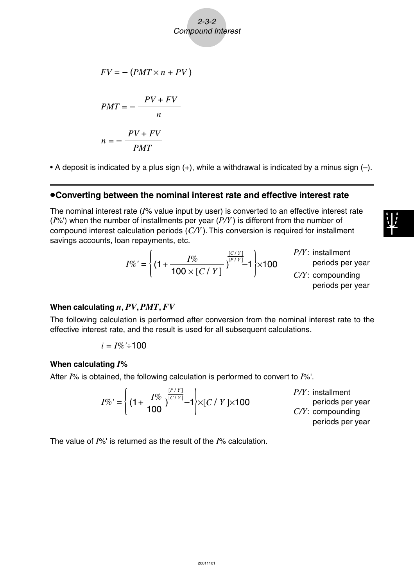2-3-2 Compound Interest

$$
FV = -(PMT \times n + PV)
$$

$$
PMT = -\frac{PV + FV}{n}
$$

$$
n = -\frac{PV + FV}{PMT}
$$

• A deposit is indicated by a plus sign  $(+)$ , while a withdrawal is indicated by a minus sign  $(-)$ .

### u**Converting between the nominal interest rate and effective interest rate**

The nominal interest rate (*I*% value input by user) is converted to an effective interest rate (*I*%') when the number of installments per year (*P/Y* ) is different from the number of compound interest calculation periods (*C/Y* ). This conversion is required for installment savings accounts, loan repayments, etc.

$$
I\%' = \left\{ (1 + \frac{I\%}{100 \times [C / Y]})^{\frac{[C / Y]}{[P / Y]}} 1 \right\} \times 100
$$

*P/Y*: installment periods per year

*C/Y*: compounding periods per year

#### **When calculating** *n***,** *PV***,** *PMT***,** *FV*

The following calculation is performed after conversion from the nominal interest rate to the effective interest rate, and the result is used for all subsequent calculations.

$$
i=I\%'+100
$$

#### **When calculating** *I***%**

After *I*% is obtained, the following calculation is performed to convert to *I*%'.

 $I\%' = \left\{ (1 + \frac{I\%}{4.28})^{\frac{[P/Y]}{[C/Y]}} - 1 \right\}$  $\left\{ \left( 1 + \frac{7}{100} \right)^{C/T_1} - 1 \right\} \times [C / Y] \times 100$  *P/Y*: installment periods per year *C/Y*: compounding periods per year

The value of *I*%' is returned as the result of the *I*% calculation.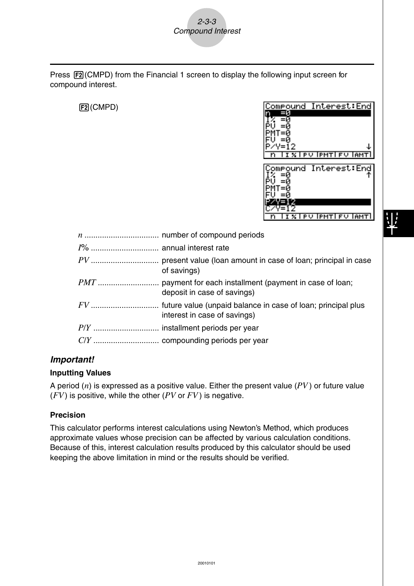Press  $F2$ (CMPD) from the Financial 1 screen to display the following input screen for compound interest.

### 2(CMPD)



| of savings)                  |
|------------------------------|
| deposit in case of savings)  |
| interest in case of savings) |
|                              |
|                              |

### **Important!**

### **Inputting Values**

A period (*n*) is expressed as a positive value. Either the present value (*PV* ) or future value (*FV*) is positive, while the other (*PV* or *FV* ) is negative.

#### **Precision**

This calculator performs interest calculations using Newton's Method, which produces approximate values whose precision can be affected by various calculation conditions. Because of this, interest calculation results produced by this calculator should be used keeping the above limitation in mind or the results should be verified.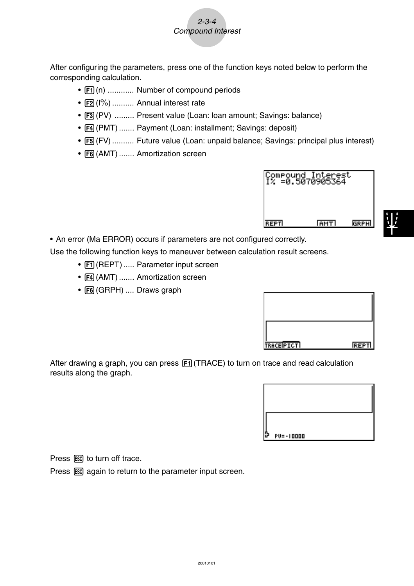

After configuring the parameters, press one of the function keys noted below to perform the corresponding calculation.

- $\boxed{F1}$ (n) ............ Number of compound periods
- F2 (I%) .......... Annual interest rate
- F3 (PV) ......... Present value (Loan: loan amount; Savings: balance)
- $F4$ (PMT) ....... Payment (Loan: installment; Savings: deposit)
- [F5] (FV) .......... Future value (Loan: unpaid balance; Savings: principal plus interest)
- F6(AMT) ....... Amortization screen

|             | Compound Interest<br>I% =0.5070905364 |      |
|-------------|---------------------------------------|------|
| <b>REPT</b> | <b>RMTI</b>                           | GRPH |

• An error (Ma ERROR) occurs if parameters are not configured correctly.

Use the following function keys to maneuver between calculation result screens.

- $F1$  (REPT) ..... Parameter input screen
- F4 (AMT) ....... Amortization screen
- [F6] (GRPH) .... Draws graph

| <b>TRACEPICTI</b> | REPTI |
|-------------------|-------|

After drawing a graph, you can press  $[FI]$  (TRACE) to turn on trace and read calculation results along the graph.



Press ESC to turn off trace.

Press  $\overline{ES}$  again to return to the parameter input screen.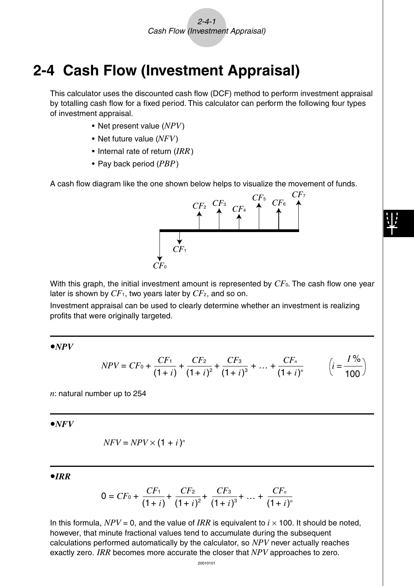### **2-4 Cash Flow (Investment Appraisal)**

This calculator uses the discounted cash flow (DCF) method to perform investment appraisal by totalling cash flow for a fixed period. This calculator can perform the following four types of investment appraisal.

- Net present value (*NPV*)
- Net future value (*NFV*)
- Internal rate of return (*IRR*)
- Pay back period (*PBP*)

A cash flow diagram like the one shown below helps to visualize the movement of funds.



With this graph, the initial investment amount is represented by  $CF_0$ . The cash flow one year later is shown by *CF*1, two years later by *CF*2, and so on.

Investment appraisal can be used to clearly determine whether an investment is realizing profits that were originally targeted.

 $\bullet NPV$ 

$$
NPV = CF_0 + \frac{CF_1}{(1+i)} + \frac{CF_2}{(1+i)^2} + \frac{CF_3}{(1+i)^3} + \dots + \frac{CF_n}{(1+i)^n} \qquad \left(i = \frac{I\%}{100}\right)
$$

*n*: natural number up to 254

 $\bullet$ *NFV* 

$$
NFV = NPV \times (1 + i)^n
$$

u*IRR*

$$
0 = CF_0 + \frac{CF_1}{(1+i)} + \frac{CF_2}{(1+i)^2} + \frac{CF_3}{(1+i)^3} + \dots + \frac{CF_n}{(1+i)^n}
$$

In this formula,  $NPV = 0$ , and the value of *IRR* is equivalent to  $i \times 100$ . It should be noted, however, that minute fractional values tend to accumulate during the subsequent calculations performed automatically by the calculator, so *NPV* never actually reaches exactly zero. *IRR* becomes more accurate the closer that *NPV* approaches to zero.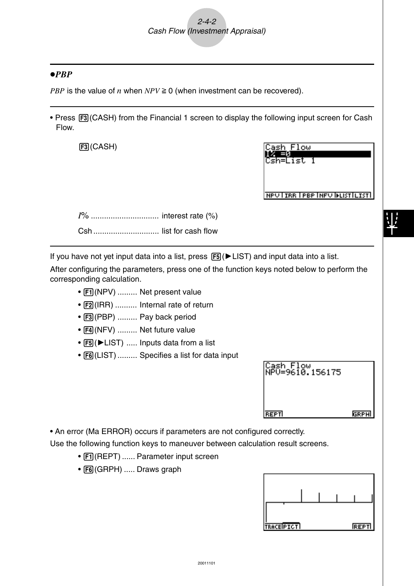### u*PBP*

*PBP* is the value of *n* when  $NPV \ge 0$  (when investment can be recovered).

• Press [F3] (CASH) from the Financial 1 screen to display the following input screen for Cash Flow.

 $F3$  $(CASH)$ 

| ash      | Flow |  |
|----------|------|--|
| ш        |      |  |
| ;sh=List |      |  |
|          |      |  |

**NPUTIAR TPBP INFUTILISTIC** 

*I*% ............................... interest rate (%) Csh .............................. list for cash flow

If you have not yet input data into a list, press  $[FS]$   $\blacktriangleright$  LIST) and input data into a list.

After configuring the parameters, press one of the function keys noted below to perform the corresponding calculation.

- Fil(NPV) ......... Net present value
- [F2] (IRR) .......... Internal rate of return
- F3 (PBP) ......... Pay back period
- F4(NFV) ......... Net future value
- [F5] ( $\blacktriangleright$  LIST) ..... Inputs data from a list
- [F6] (LIST) ......... Specifies a list for data input

| Cash Flow<br>NPV=9610.156175 |             |
|------------------------------|-------------|
|                              |             |
| <b>REPT</b>                  | <b>GRPH</b> |

• An error (Ma ERROR) occurs if parameters are not configured correctly.

Use the following function keys to maneuver between calculation result screens.

- Fil(REPT) ...... Parameter input screen
- [F6] (GRPH) ..... Draws graph

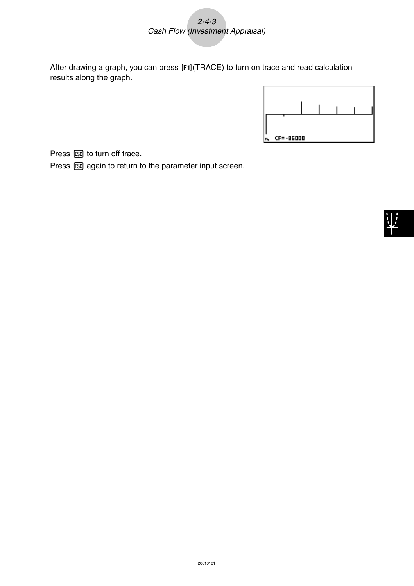2-4-3 Cash Flow (Investment Appraisal)

After drawing a graph, you can press [F1] (TRACE) to turn on trace and read calculation results along the graph.



Press ESC to turn off trace.

Press  $\overline{ES}$  again to return to the parameter input screen.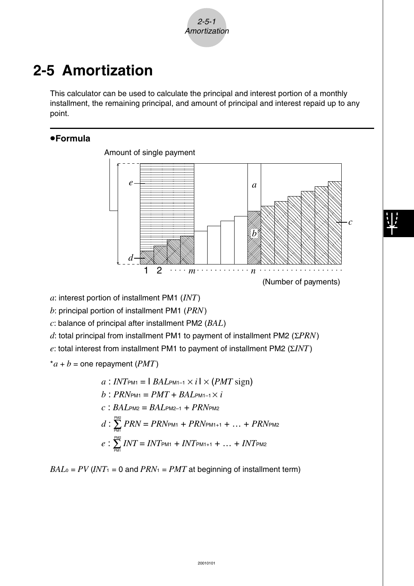$2 - 5 - 1$ Amortization

# **2-5 Amortization**

This calculator can be used to calculate the principal and interest portion of a monthly installment, the remaining principal, and amount of principal and interest repaid up to any point.

### u**Formula**



*a*: interest portion of installment PM1 (*INT*)

*b*: principal portion of installment PM1 (*PRN*)

*c*: balance of principal after installment PM2 (*BAL*)

*d*: total principal from installment PM1 to payment of installment PM2 (Σ*PRN*)

*e*: total interest from installment PM1 to payment of installment PM2 (Σ*INT*)

 $a + b =$  one repayment (*PMT*)

$$
a: INT_{PM1} = 1 \, BAL_{PM1-1} \times i1 \times (PMT \, sign)
$$
\n
$$
b: PRN_{PM1} = PMT + BAL_{PM1-1} \times i
$$
\n
$$
c: BAL_{PM2} = BAL_{PM2-1} + PRN_{PM2}
$$
\n
$$
d: \sum_{PM} PRN = PRN_{PM1} + PRN_{PM1+1} + ... + PRN_{PM2}
$$
\n
$$
e: \sum_{PM} INT = INT_{PM1} + INT_{PM1+1} + ... + INT_{PM2}
$$

 $BAL<sub>0</sub> = PV (INT<sub>1</sub> = 0$  and  $PRN<sub>1</sub> = PMT$  at beginning of installment term)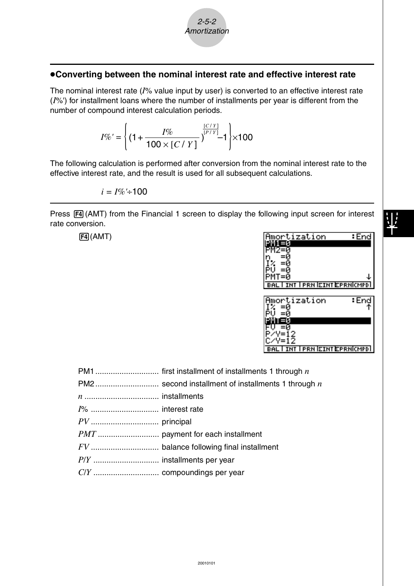### 2-5-2 Amortization

### u**Converting between the nominal interest rate and effective interest rate**

The nominal interest rate (*I*% value input by user) is converted to an effective interest rate (*I*%') for installment loans where the number of installments per year is different from the number of compound interest calculation periods.

$$
I\%' = \left\{ (1 + \frac{I\%}{100 \times [C / Y]})^{\frac{[C / Y]}{[P / Y]}} 1 \right\} \times 100
$$

The following calculation is performed after conversion from the nominal interest rate to the effective interest rate, and the result is used for all subsequent calculations.

$$
i=I\%+100
$$

Press  $F4$ (AMT) from the Financial 1 screen to display the following input screen for interest rate conversion.

| $F4$ $(AMT)$                                                       | Amortization<br>: End<br>31<br><b>INT I PRN EINT EPRNICMPDI</b> |
|--------------------------------------------------------------------|-----------------------------------------------------------------|
|                                                                    | Amortization<br>: End<br>=и<br><b>INT I PRN EINT EPRNICMPDI</b> |
| PM <sub>1</sub><br>first installment of installments 1 through $n$ |                                                                 |

PM2............................. second installment of installments 1 through *n n* .................................. installments *I*% ............................... interest rate *PV* ............................... principal *PMT* ............................ payment for each installment *FV* ............................... balance following final installment *P*/*Y* .............................. installments per year *C*/*Y* .............................. compoundings per year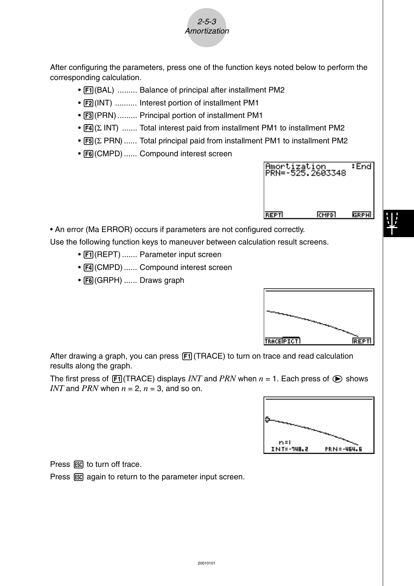

After configuring the parameters, press one of the function keys noted below to perform the corresponding calculation.

- [F1] (BAL) ......... Balance of principal after installment PM2
- [F2] (INT) .......... Interest portion of installment PM1
- F3 (PRN) ......... Principal portion of installment PM1
- $FA(Σ INT)$  ....... Total interest paid from installment PM1 to installment PM2
- [F5] (Σ PRN) ...... Total principal paid from installment PM1 to installment PM2
- [F6] (CMPD) ...... Compound interest screen



• An error (Ma ERROR) occurs if parameters are not configured correctly.

Use the following function keys to maneuver between calculation result screens.

- F1 (REPT) ....... Parameter input screen
- $F4$ (CMPD) ...... Compound interest screen
- F6(GRPH) ...... Draws graph



After drawing a graph, you can press  $[FT]$  (TRACE) to turn on trace and read calculation results along the graph.

The first press of  $[FI]$  (TRACE) displays *INT* and *PRN* when  $n = 1$ . Each press of  $\odot$  shows *INT* and *PRN* when  $n = 2$ ,  $n = 3$ , and so on.



Press ESC to turn off trace.

Press  $\overline{ESC}$  again to return to the parameter input screen.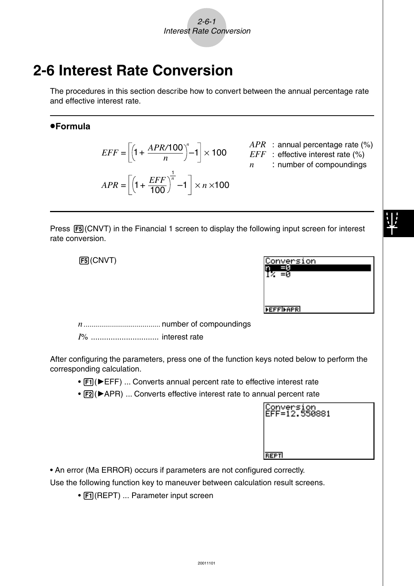# **2-6 Interest Rate Conversion**

The procedures in this section describe how to convert between the annual percentage rate and effective interest rate.

### u**Formula**

$$
EFF = \left[ \left( 1 + \frac{APR/100}{n} \right)^n - 1 \right] \times 100
$$

$$
APR = \left[ \left( 1 + \frac{EFF}{100} \right)^n - 1 \right] \times n \times 100
$$

- *APR* : annual percentage rate (%)
- *EFF* : effective interest rate (%)
- *n* : number of compoundings

Press  $[F5]$ (CNVT) in the Financial 1 screen to display the following input screen for interest rate conversion.

5(CNVT)

| Conversion        |  |
|-------------------|--|
|                   |  |
|                   |  |
|                   |  |
|                   |  |
| <b>FEFFIFAPRI</b> |  |

*n*....................................... number of compoundings

*I*% ............................... interest rate

After configuring the parameters, press one of the function keys noted below to perform the corresponding calculation.

- [F1] ( $\blacktriangleright$  EFF) ... Converts annual percent rate to effective interest rate
- [F2] ( $\blacktriangleright$  APR) ... Converts effective interest rate to annual percent rate

| Conversion<br>EFF=12.550881 |  |
|-----------------------------|--|
|                             |  |
| <b>REPT</b>                 |  |

• An error (Ma ERROR) occurs if parameters are not configured correctly.

Use the following function key to maneuver between calculation result screens.

• [F1] (REPT) ... Parameter input screen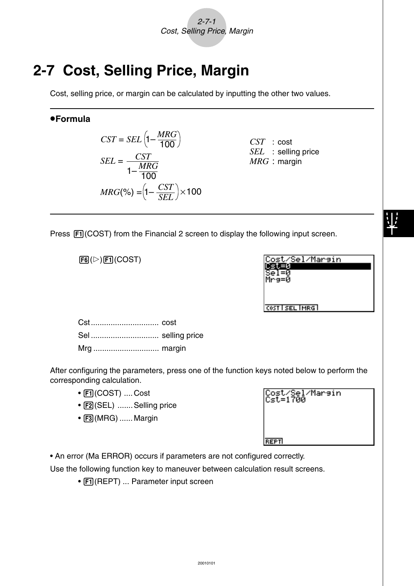2-7-1 Cost, Selling Price, Margin

# **2-7 Cost, Selling Price, Margin**

Cost, selling price, or margin can be calculated by inputting the other two values.

### u**Formula**



*CST* : cost *SEL* : selling price *MRG* : margin

Press  $\overline{[F1]}$  (COST) from the Financial 2 screen to display the following input screen.

 $F6(\triangleright)$  $F1$ (COST)

| Cost/Sel/Margin |  |
|-----------------|--|
| lMre=0          |  |
|                 |  |
|                 |  |
| COST SEL MRG    |  |

Cst............................... cost Sel ............................... selling price Mrg .............................. margin

After configuring the parameters, press one of the function keys noted below to perform the corresponding calculation.

- Fil(COST) ....Cost
- [F2] (SEL) ....... Selling price
- $\bullet$   $\overline{F3}$ (MRG) ...... Margin

|             | $C_{5}t = 1700$ |  |
|-------------|-----------------|--|
|             |                 |  |
|             |                 |  |
| <b>REPT</b> |                 |  |

Cost /Sol /Magain

• An error (Ma ERROR) occurs if parameters are not configured correctly.

Use the following function key to maneuver between calculation result screens.

• Fil(REPT) ... Parameter input screen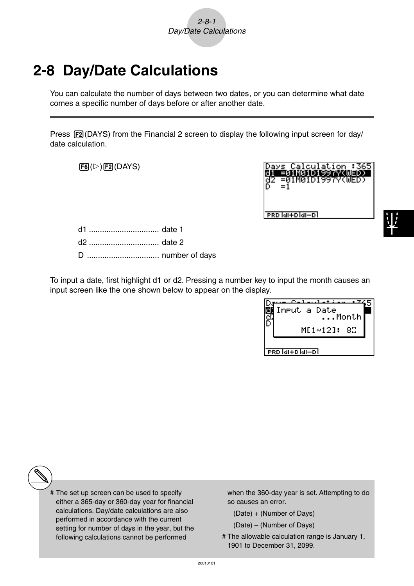# **2-8 Day/Date Calculations**

You can calculate the number of days between two dates, or you can determine what date comes a specific number of days before or after another date.

Press  $[FA]$ (DAYS) from the Financial 2 screen to display the following input screen for day/ date calculation.

 $F6(\triangleright)$  $F2(DAYS)$ 



PRD MI+D MI-D

d1 ................................ date 1 d2 ................................ date 2 D ................................. number of days

To input a date, first highlight d1 or d2. Pressing a number key to input the month causes an input screen like the one shown below to appear on the display.

| Input a Date<br>Month |  |
|-----------------------|--|
| ME1~12]: 8C           |  |
| lai+blai−bl           |  |

# The set up screen can be used to specify either a 365-day or 360-day year for financial calculations. Day/date calculations are also performed in accordance with the current setting for number of days in the year, but the following calculations cannot be performed

when the 360-day year is set. Attempting to do so causes an error.

- (Date) + (Number of Days)
- (Date) (Number of Days)
- # The allowable calculation range is January 1, 1901 to December 31, 2099.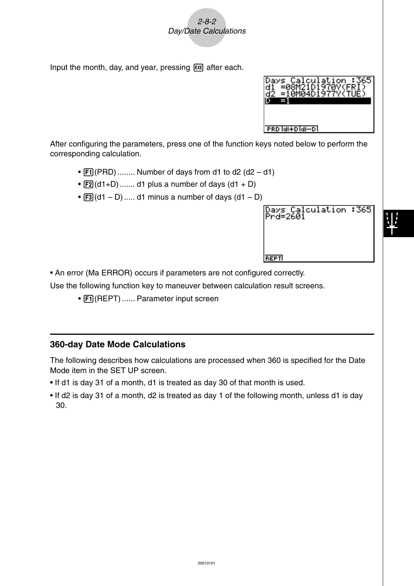2-8-2 Day/Date Calculations

Input the month, day, and year, pressing  $Ex$  after each.



Days Calculation :36<mark>5</mark><br>Prd=2601

**REPT** 

After configuring the parameters, press one of the function keys noted below to perform the corresponding calculation.

- $[FI]$  (PRD) ........ Number of days from d1 to d2 (d2 d1)
- $\boxed{F2}(d1+D)$ ....... d1 plus a number of days  $(d1 + D)$
- $\overline{[F3]}(d1 D)$ ..... d1 minus a number of days  $(d1 D)$

• An error (Ma ERROR) occurs if parameters are not configured correctly.

Use the following function key to maneuver between calculation result screens.

• Fil(REPT) ...... Parameter input screen

### **360-day Date Mode Calculations**

The following describes how calculations are processed when 360 is specified for the Date Mode item in the SET UP screen.

- If d1 is day 31 of a month, d1 is treated as day 30 of that month is used.
- If d2 is day 31 of a month, d2 is treated as day 1 of the following month, unless d1 is day 30.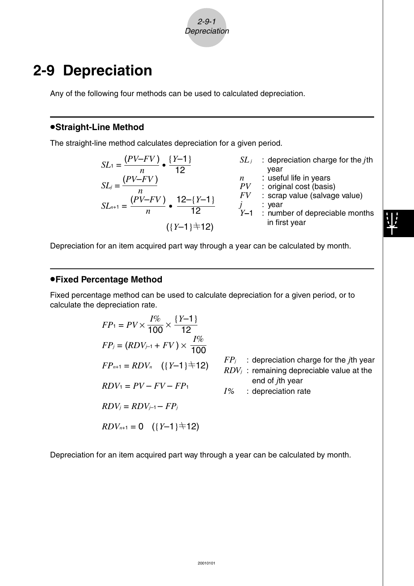2-9-1 **Depreciation** 

### **2-9 Depreciation**

Any of the following four methods can be used to calculated depreciation.

#### **•Straight-Line Method**

The straight-line method calculates depreciation for a given period.

$$
SL_1 = \frac{(PV-FV)}{n} \cdot \frac{\{Y-1\}}{12}
$$
  
\n
$$
SL_j = \frac{(PV-FV)}{n}
$$
  
\n
$$
SL_j = \frac{(PV-FV)}{n}
$$
  
\n
$$
SL_j = \frac{(PV-FV)}{n}
$$
  
\n
$$
SL_j = \frac{(PV-FV)}{n}
$$
  
\n
$$
SU_2 = \frac{(PV-FV)}{n}
$$
  
\n
$$
SU_3 = \frac{V}{N}
$$
  
\n
$$
SU_4 = \frac{V}{N}
$$
  
\n
$$
SU_5 = \frac{V}{N}
$$
  
\n
$$
SU_6 = \frac{V}{N}
$$
  
\n
$$
SU_7 = \frac{V}{N}
$$
  
\n
$$
U = \frac{V}{N}
$$
  
\n
$$
U = \frac{V}{N}
$$
  
\n
$$
U = \frac{V}{N}
$$
  
\n
$$
U = \frac{V}{N}
$$
  
\n
$$
U = \frac{V}{N}
$$
  
\n
$$
U = \frac{V}{N}
$$
  
\n
$$
U = \frac{V}{N}
$$
  
\n
$$
U = \frac{V}{N}
$$
  
\n
$$
U = \frac{V}{N}
$$
  
\n
$$
U = \frac{V}{N}
$$
  
\n
$$
U = \frac{V}{N}
$$
  
\n
$$
U = \frac{V}{N}
$$
  
\n
$$
U = \frac{V}{N}
$$
  
\n
$$
U = \frac{V}{N}
$$
  
\n
$$
U = \frac{V}{N}
$$
  
\n
$$
U = \frac{V}{N}
$$
  
\n
$$
U = \frac{V}{N}
$$
  
\n
$$
U = \frac{V}{N}
$$
  
\n
$$
U = \frac{V}{N}
$$
  
\n
$$
U = \frac{V}{N}
$$
  
\n
$$
U = \frac{V}{N}
$$
  
\n
$$
U = \frac{V}{N}
$$
  
\n
$$
U = \frac{V}{N}
$$
  
\n
$$
U = \frac{V}{N}
$$
  
\n
$$
U = \frac{V}{N
$$

Depreciation for an item acquired part way through a year can be calculated by month.

### u**Fixed Percentage Method**

Fixed percentage method can be used to calculate depreciation for a given period, or to calculate the depreciation rate.

$$
FP_1 = PV \times \frac{I\%}{100} \times \frac{\{Y-1\}}{12}
$$
  
\n
$$
FP_j = (RDV_{j-1} + FV) \times \frac{I\%}{100}
$$
  
\n
$$
FP_{n+1} = RDV_n \quad (\{Y-1\} \pm 12) \qquad FP_j : \text{deprecision charge for the } j\text{th year}
$$
  
\n
$$
RDV_1 = PV - FV - FP_1
$$
  
\n
$$
RDV_j = RDV_{j-1} - FP_j
$$
  
\n
$$
RDV_{n+1} = 0 \quad (\{Y-1\} \pm 12)
$$
  
\n
$$
RDV_{n+1} = 0 \quad (\{Y-1\} \pm 12)
$$

Depreciation for an item acquired part way through a year can be calculated by month.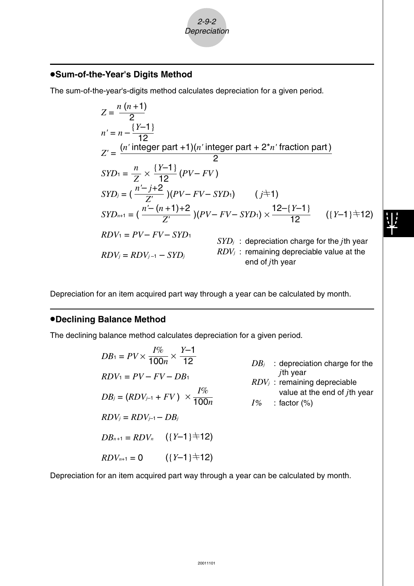### u**Sum-of-the-Year's Digits Method**

The sum-of-the-year's-digits method calculates depreciation for a given period.

$$
Z = \frac{n(n+1)}{2}
$$
  
\n
$$
n' = n - \frac{\{Y-1\}}{12}
$$
  
\n
$$
Z' = \frac{(n' \text{ integer part} + 1)(n' \text{ integer part} + 2^{*}n' \text{ fraction part})}{2}
$$
  
\n
$$
SYD_1 = \frac{n}{Z} \times \frac{\{Y-1\}}{12} (PV - FV)
$$
  
\n
$$
SYD_j = (\frac{n'-j+2}{Z'}) (PV - FV - SYD_1) \qquad (j \neq 1)
$$
  
\n
$$
SYD_{n+1} = (\frac{n'-(n+1)+2}{Z'}) (PV - FV - SYD_1) \times \frac{12-\{Y-1\}}{12} \qquad (\{Y-1\} \neq 12)
$$
  
\n
$$
RDV_1 = PV - FV - SYD_1 \qquad SYD_j : \text{deprecation charge for the } j\text{th year}
$$
  
\n
$$
RDV_j = RDV_{j-1} - SYD_j \qquad RDV_j : \text{remaining depreciable value at the end of } j\text{th year}
$$

Depreciation for an item acquired part way through a year can be calculated by month.

#### **•Declining Balance Method**

The declining balance method calculates depreciation for a given period.

$$
DB_1 = PV \times \frac{I\%}{100n} \times \frac{Y-1}{12}
$$
  
\n
$$
BDV_1 = PV - FV - DB_1
$$
  
\n
$$
DB_j = (RDV_{j-1} + FV) \times \frac{I\%}{100n}
$$
  
\n
$$
BDV_j = RDV_{j-1} - DB_j
$$
  
\n
$$
DDB_{n+1} = RDV_n
$$
  $(\{Y-1\} \pm 12)$   
\n $(\{Y-1\} \pm 12)$   
\n $BDV_{n+1} = 0$   $(\{Y-1\} \pm 12)$ 

Depreciation for an item acquired part way through a year can be calculated by month.

2-9-2 **Depreciation**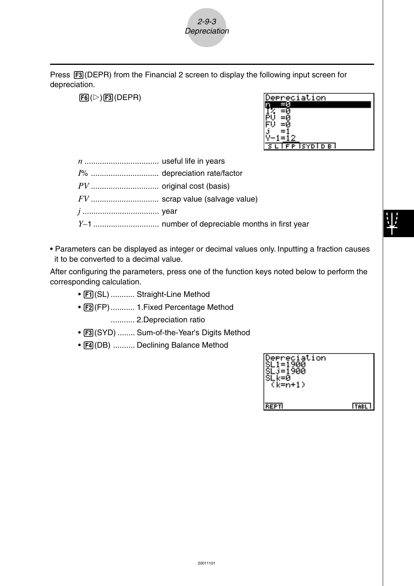

Press  $F3$ (DEPR) from the Financial 2 screen to display the following input screen for depreciation.

 $F6(\triangleright)$  $F3$ (DEPR)

| $\overline{\sim}$ ciation |
|---------------------------|
|                           |
|                           |
|                           |
|                           |
|                           |
|                           |
| <b>PISYDID BI</b>         |

*n* .................................. useful life in years

*I*% ............................... depreciation rate/factor

*PV* ............................... original cost (basis)

*FV* ............................... scrap value (salvage value)

*j* ................................... year

*Y–*1 .............................. number of depreciable months in first year

• Parameters can be displayed as integer or decimal values only. Inputting a fraction causes it to be converted to a decimal value.

After configuring the parameters, press one of the function keys noted below to perform the corresponding calculation.

- $F1$ (SL) ........... Straight-Line Method
- F2(FP)........... 1. Fixed Percentage Method ........... 2.Depreciation ratio
- [F3] (SYD) ........ Sum-of-the-Year's Digits Method
- [F4] (DB) .......... Declining Balance Method

| preciation<br>$(k=n+1)$ |             |
|-------------------------|-------------|
| REPTI                   | <b>TABL</b> |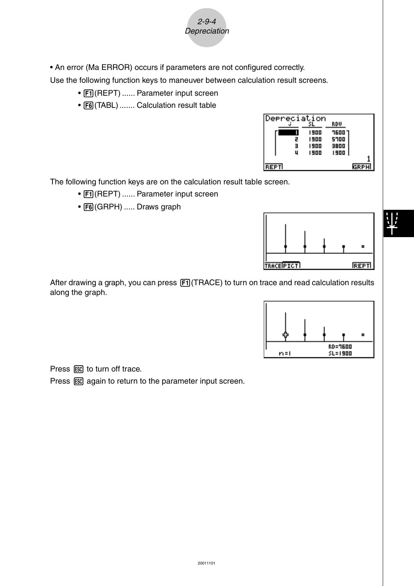• An error (Ma ERROR) occurs if parameters are not configured correctly.

Use the following function keys to maneuver between calculation result screens.

2-9-4 **Depreciation** 

- F1 (REPT) ...... Parameter input screen
- [F6] (TABL) ....... Calculation result table

| Depreciation |      |        |             |
|--------------|------|--------|-------------|
|              |      | RDV    |             |
|              | 1900 | ר סספר |             |
| 2            | 1900 | 5700   |             |
| Е            | 1900 | 3800   |             |
| u            | 1900 | 1900   |             |
| REPT         |      |        | <b>GRPH</b> |

The following function keys are on the calculation result table screen.

- Fil(REPT) ...... Parameter input screen
- F6(GRPH) ..... Draws graph



After drawing a graph, you can press [F1] (TRACE) to turn on trace and read calculation results along the graph.



Press ESC to turn off trace.

Press  $\overline{ES}$  again to return to the parameter input screen.

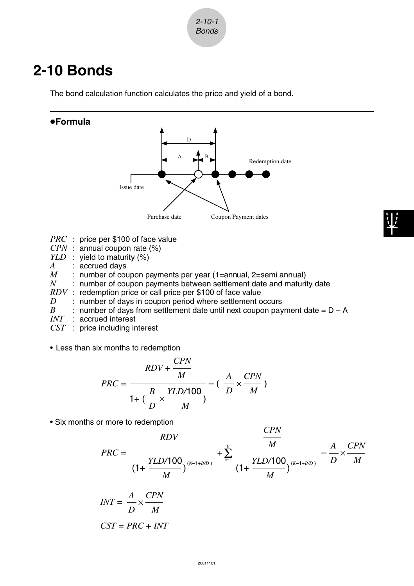

### **2-10 Bonds**

The bond calculation function calculates the price and yield of a bond.





- *CST* : price including interest
- Less than six months to redemption

$$
PRC = \frac{RDV + \frac{CPN}{M}}{1 + \left(\frac{B}{D} \times \frac{YLD/100}{M}\right)} - \left(\frac{A}{D} \times \frac{CPN}{M}\right)
$$

• Six months or more to redemption

$$
PRC = \frac{RDV}{\left(1 + \frac{YLD/100}{M}\right)^{(N-1+B/D)}} + \sum_{k=1}^{N} \frac{1}{\left(1 + \frac{YLD/100}{M}\right)^{(K-1+B/D)}} - \frac{A}{D} \times \frac{CPN}{M}
$$

*CPN*

$$
INT = \frac{A}{D} \times \frac{CPN}{M}
$$

$$
CST = PRC + INT
$$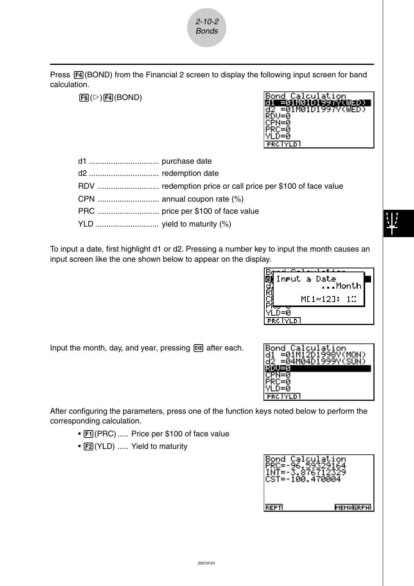

Press  $FA(BOND)$  from the Financial 2 screen to display the following input screen for band calculation.

 $F6(\triangleright)$  $F4$ (BOND)

| Bond           | Calculation       |
|----------------|-------------------|
|                | ≣01M01D199        |
| 32             | =01M01D1997V(WED) |
| ІСРН=й         |                   |
|                |                   |
| YLD=0          |                   |
| <b>PRC YLD</b> |                   |

To input a date, first highlight d1 or d2. Pressing a number key to input the month causes an input screen like the one shown below to appear on the display.



Input the month, day, and year, pressing [EXE] after each.



After configuring the parameters, press one of the function keys noted below to perform the corresponding calculation.

- [F1] (PRC) ..... Price per \$100 of face value
- [F2] (YLD) ..... Yield to maturity

| łond  | Calculation<br>CST=-100.470004 |
|-------|--------------------------------|
| REPTI | MO <b>I</b> GRPHI              |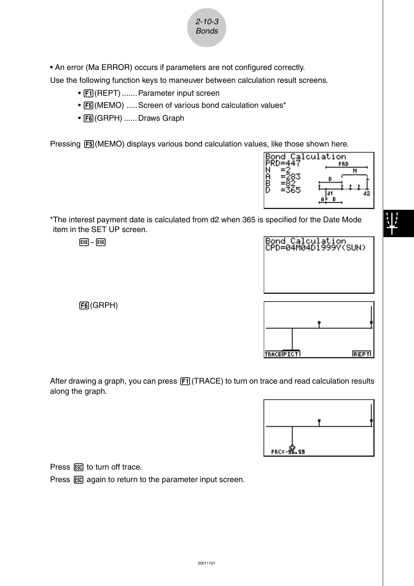

Use the following function keys to maneuver between calculation result screens.

2-10-3 Bonds

- $F1$ (REPT) ....... Parameter input screen
- [F5] (MEMO) ..... Screen of various bond calculation values\*
- F6(GRPH) ...... Draws Graph

Pressing F5(MEMO) displays various bond calculation values, like those shown here.



\*The interest payment date is calculated from d2 when 365 is specified for the Date Mode item in the SET UP screen.

 $EXE$  ~  $EXE$ 



6(GRPH)

After drawing a graph, you can press [F1] (TRACE) to turn on trace and read calculation results along the graph.



Press ESC to turn off trace.

Press  $\overline{ESC}$  again to return to the parameter input screen.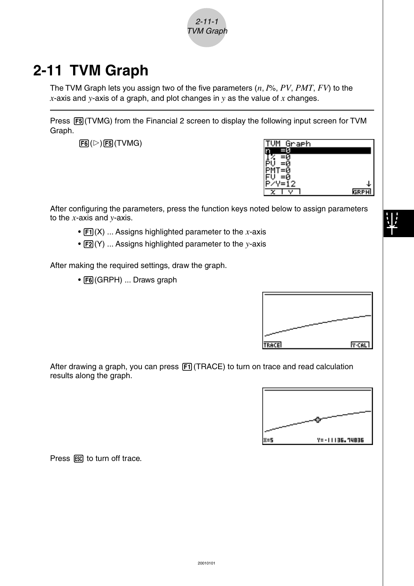

# **2-11 TVM Graph**

The TVM Graph lets you assign two of the five parameters (*n*, *I*%, *PV*, *PMT*, *FV*) to the *x*-axis and *y*-axis of a graph, and plot changes in *y* as the value of *x* changes.

Press  $[F5]$ (TVMG) from the Financial 2 screen to display the following input screen for TVM Graph.

 $F6(\triangleright)$   $F5$  (TVMG)



After configuring the parameters, press the function keys noted below to assign parameters to the *x*-axis and *y*-axis.

- $[Fi](X)$  ... Assigns highlighted parameter to the *x*-axis
- $\boxed{F2}(Y)$  ... Assigns highlighted parameter to the *y*-axis

After making the required settings, draw the graph.

• [F6] (GRPH) ... Draws graph



After drawing a graph, you can press  $F1$  (TRACE) to turn on trace and read calculation results along the graph.



Press ESC to turn off trace.